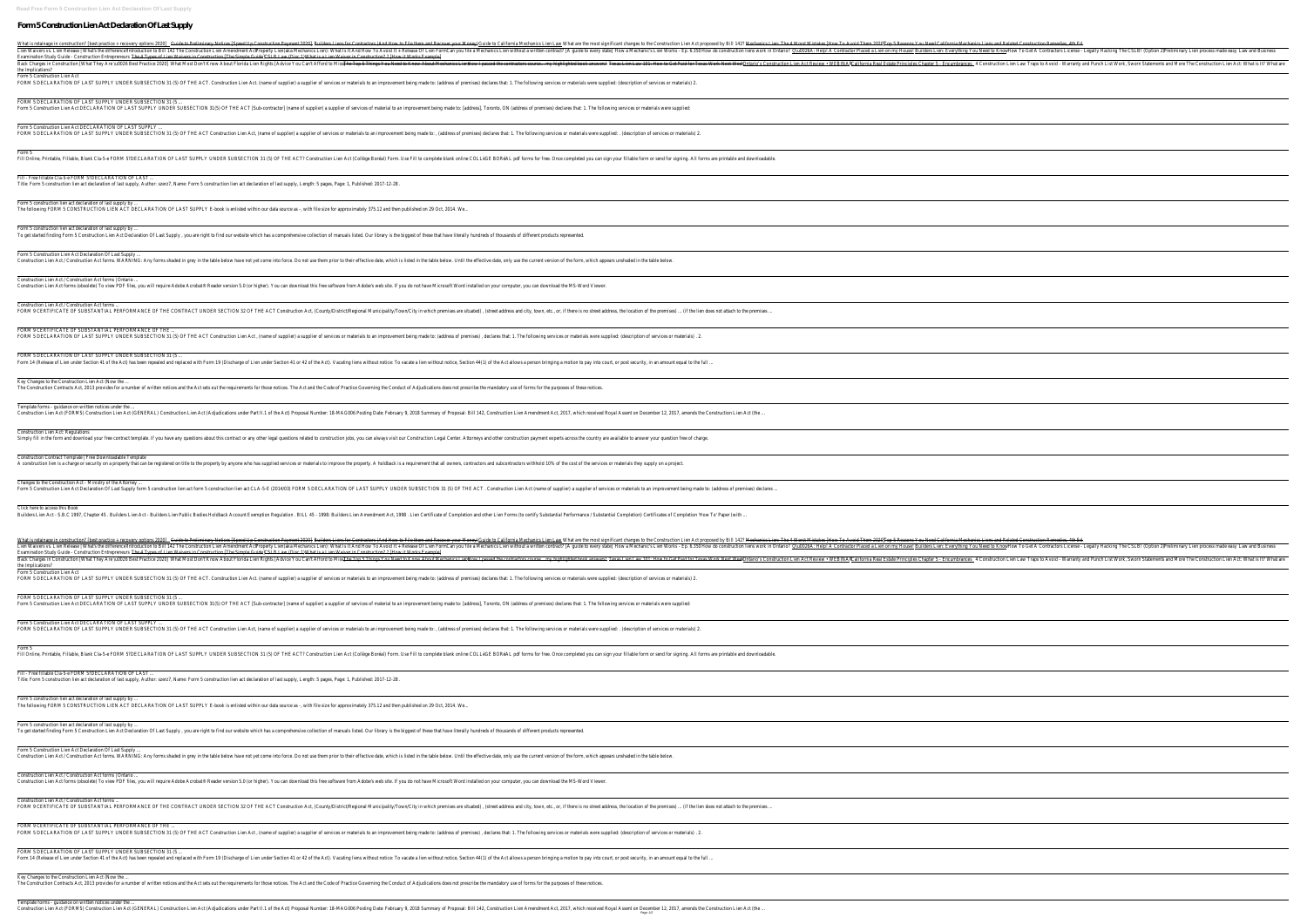Template forms - guidance on written notices under the ... reposal Number: 18-MAGOO6 Posting Date: February 9, 2018 Summary of Proposal Number: 18-MAGOO6 Posting Date: February 9, 2017, which received Royal Assent on December 12, 2017, amends the Construction Lien Act (the ...<br>Pag

| What is retainage in construction? [best practice + recovery options 2020]to Preliminary Notices [Speed Up Construction Payment 2020]ters Liens for Contractors (And How to File them and Recover your M@nigge to allifornia M<br>Lien Waivers vs. Lien Release   What's the differemat Coduction to Bill 142 The Construction Lien Amendment Phoperty Lien (aka Mechanics Lien): What Is It And How To Avoid It + Release Of Lien F6am you file a Mechanic's Li<br>Examination Study Guide - Construction Entrepreneure 4 Types of Lien Waivers in Construction [The Simple Guide] B Law (Disc 1) What is a Lien Waiver in Construction? ? [How it Works Example]<br>Back Charges in Construction [What They Are \uOO26 Best Practice 20020]Most Don't Know About Florida Lien Rights [Advice You Can't Afford to Nings You Need to Know About Mechanics Lidosy I passed the contractors course<br>the Implications?                                                                                                                                                                                                                                                                   |
|-----------------------------------------------------------------------------------------------------------------------------------------------------------------------------------------------------------------------------------------------------------------------------------------------------------------------------------------------------------------------------------------------------------------------------------------------------------------------------------------------------------------------------------------------------------------------------------------------------------------------------------------------------------------------------------------------------------------------------------------------------------------------------------------------------------------------------------------------------------------------------------------------------------------------------------------------------------------------------------------------------------------------------------------------------------------------------------------------------------------------------------------------------------------------------------------|
| Form 5 Construction Lien Act<br>FORM 5 DECLARATION OF LAST SUPPLY UNDER SUBSECTION 31 (5) OF THE ACT. Construction Lien Act. (name of supplier) a supplier of services or materials to an improvement being made to: (address of premises) declares that: 1. T                                                                                                                                                                                                                                                                                                                                                                                                                                                                                                                                                                                                                                                                                                                                                                                                                                                                                                                          |
| FORM 5 DECLARATION OF LAST SUPPLY UNDER SUBSECTION 31 (5<br>Form 5 Construction Lien Act DECLARATION OF LAST SUPPLY UNDER SUBSECTION 31(5) OF THE ACT [Sub-contractor] (name of supplier of services of material to an improvement being made to: [address], Toronto, ON (address of premi                                                                                                                                                                                                                                                                                                                                                                                                                                                                                                                                                                                                                                                                                                                                                                                                                                                                                              |
| Form 5 Construction Lien Act DECLARATION OF LAST SUPPLY<br>FORM 5 DECLARATION OF LAST SUPPLY UNDER SUBSECTION 31 (5) OF THE ACT Construction Lien Act, (name of supplier) a supplier of services or materials to an improvement being made to:, (address of premises) declares that: 1. T                                                                                                                                                                                                                                                                                                                                                                                                                                                                                                                                                                                                                                                                                                                                                                                                                                                                                               |
| Form 5<br>Fill Online, Printable, Blank Cla-5-e FORM 5?DECLARATION OF LAST SUPPLY UNDER SUBSECTION 31 (5) OF THE ACT? Construction Lien Act (Collège Boréal) Form. Use Fill to completed you can sign your fillable form or send for sig                                                                                                                                                                                                                                                                                                                                                                                                                                                                                                                                                                                                                                                                                                                                                                                                                                                                                                                                                |
| Fill - Free fillable Cla-5-e FORM 5?DECLARATION OF LAST<br>Title: Form 5 construction lien act declaration of last supply, Author: szerz7, Name: Form 5 construction lien act declaration of last supply, Length: 5 pages, Page: 1, Published: 2017-12-28.                                                                                                                                                                                                                                                                                                                                                                                                                                                                                                                                                                                                                                                                                                                                                                                                                                                                                                                              |
| Form 5 construction lien act declaration of last supply by<br>The following FORM 5 CONSTRUCTION LIEN ACT DECLARATION OF LAST SUPPLY E-book is enlisted within our data source as -, with file size for approximately 375.12 and then published on 29 Oct, 2014. We                                                                                                                                                                                                                                                                                                                                                                                                                                                                                                                                                                                                                                                                                                                                                                                                                                                                                                                      |
| Form 5 construction lien act declaration of last supply by<br>To get started finding Form 5 Construction Lien Act Declaration Of Last Supply, you are right to find our website which has a comprehensive collection of manuals listed. Our library is the biggest of these that have litera                                                                                                                                                                                                                                                                                                                                                                                                                                                                                                                                                                                                                                                                                                                                                                                                                                                                                            |
| Form 5 Construction Lien Act Declaration Of Last Supply<br>Construction Lien Act / Construction Act forms. WARNING: Any forms shaded in grey in the table below have not yet come into force. Do not use them prior to their effective date, which is listed in the table below. Until th                                                                                                                                                                                                                                                                                                                                                                                                                                                                                                                                                                                                                                                                                                                                                                                                                                                                                               |
| Construction Lien Act / Construction Act forms   Ontario<br>Construction Lien Act forms (obsolete) To view PDF files, you will require Adobe Acrobat® Reader version 5.0 (or higher). You can download this free software from Adobe's web site. If you do not have Microsoft Word install                                                                                                                                                                                                                                                                                                                                                                                                                                                                                                                                                                                                                                                                                                                                                                                                                                                                                              |
| Construction Lien Act / Construction Act forms<br>FORM 9 CERTIFICATE OF SUBSTANTIAL PERFORMANCE OF THE CONTRACT UNDER SECTION 32 OF THE ACT Construction Act, (County/District/Regional Municipality/Town/City in which premises are situated), (street address, and city, town,                                                                                                                                                                                                                                                                                                                                                                                                                                                                                                                                                                                                                                                                                                                                                                                                                                                                                                        |
| FORM 9 CERTIFICATE OF SUBSTANTIAL PERFORMANCE OF THE<br>FORM 5 DECLARATION OF LAST SUPPLY UNDER SUBSECTION 31 (5) OF THE ACT Construction Lien Act, (name of supplier) a supplier of services or materials to an improvement being made to: (address of premises), declares that: 1. T                                                                                                                                                                                                                                                                                                                                                                                                                                                                                                                                                                                                                                                                                                                                                                                                                                                                                                  |
| FORM 5 DECLARATION OF LAST SUPPLY UNDER SUBSECTION 31 (5<br>Form 14 (Release of Lien under Section 41 of the Act) has been repealed and replaced with Form 19 (Discharge of Lien under Section 41 or 42 of the Act). Vacating liens without notice, Section 44(1) of the Act allows a pers                                                                                                                                                                                                                                                                                                                                                                                                                                                                                                                                                                                                                                                                                                                                                                                                                                                                                              |
| Key Changes to the Construction Lien Act (Now the<br>The Construction Contracts Act, 2013 provides for a number of written notices and the Act sets out the requirements for those notices. The Act and the Code of Practice Governing the Conduct of Adjudications does not prescr                                                                                                                                                                                                                                                                                                                                                                                                                                                                                                                                                                                                                                                                                                                                                                                                                                                                                                     |
| Template forms - guidance on written notices under the<br>Construction Lien Act (FORMS) Construction Lien Act (GENERAL) Construction Lien Act (Adjudications under Part II.1 of the Act) Proposal Number: 18-MAGOO6 Posting Date: February 9, 2018 Summary of Proposal: Bill 142, Constr                                                                                                                                                                                                                                                                                                                                                                                                                                                                                                                                                                                                                                                                                                                                                                                                                                                                                                |
| Construction Lien Act: Regulations<br>Simply fill in the form and download your free contract template. If you have any questions about this contract or any other legal questions related to construction jobs, you can always visit our Construction payment exper                                                                                                                                                                                                                                                                                                                                                                                                                                                                                                                                                                                                                                                                                                                                                                                                                                                                                                                    |
| Construction Contract Template   Free Downloadable Template<br>A construction lien is a charge or security on a property that can be registered on title to the property by anyone who has supplied services or materials to improve the property. A holdback is a requirement that all owner                                                                                                                                                                                                                                                                                                                                                                                                                                                                                                                                                                                                                                                                                                                                                                                                                                                                                           |
| Changes to the Construction Act - Ministry of the Attorney<br>Form 5 Construction Lien Act Declaration Of Last Supply form 5 construction lien act form 5 construction lien act form 5 construction lien act CLA-5-E (2014/03) FORM 5 DECLARATION OF LAST SUPPLY UNDER SUBSECTION 31 (5) OF                                                                                                                                                                                                                                                                                                                                                                                                                                                                                                                                                                                                                                                                                                                                                                                                                                                                                             |
| Click here to access this Book<br>Builders Lien Act - S.B.C 1997, Chapter 45 . Builders Lien Act - Builders Lien Public Bodies Holdback Account Exemption Regulation . BILL 45 - 1998: Builders Lien Amendment Act, 1998 . Lien Certify Substantial Performance                                                                                                                                                                                                                                                                                                                                                                                                                                                                                                                                                                                                                                                                                                                                                                                                                                                                                                                         |
| What is retainage in construction? [best practice + recovery options 2000) be Preliminary Notices [Speed Up Construction Payment 2020) ders for Contractors (And How to File them and Recover your M@nidg) to California Mecha<br>Lien Waivers vs. Lien Release   What's the differemat Coduction to Bill 142 The Construction Lien Amendment Phoperty Lien(aka Mechanics Lien): What Is It And How To Avoid It + Release Of Lien F6am you file a Mechanic's Lie<br>Examination Study Guide - Construction Entrepreneure 4 Types of Lien Waivers in Construction [The Simple Guid BLB Law (Disc 1) What is a Lien Waiver in Construction? ? [How it Works Example]<br>Back Charges in Construction [What They Are \uOO26 Best Practice 20020]Most Don't Know About Florida Lien Rights [Advice You Can't Afford to Nines You Need to Know About Mechanics Lidosw I passed the contractors course<br>the Implications?<br>Form 5 Construction Lien Act<br>FORM 5 DECLARATION OF LAST SUPPLY UNDER SUBSECTION 31 (5) OF THE ACT. Construction Lien Act. (name of supplier) a supplier of services or materials to an improvement being made to: (address of premises) declares that: 1. T |
| FORM 5 DECLARATION OF LAST SUPPLY UNDER SUBSECTION 31 (5<br>Form 5 Construction Lien Act DECLARATION OF LAST SUPPLY UNDER SUBSECTION 31(5) OF THE ACT [Sub-contractor] (name of supplier) a supplier of services of material to an improvement being made to: [address], Toronto, ON (addr                                                                                                                                                                                                                                                                                                                                                                                                                                                                                                                                                                                                                                                                                                                                                                                                                                                                                              |
| Form 5 Construction Lien Act DECLARATION OF LAST SUPPLY<br>FORM 5 DECLARATION OF LAST SUPPLY UNDER SUBSECTION 31 (5) OF THE ACT Construction Lien Act, (name of supplier) a supplier of services or materials to an improvement being made to:, (address of premises) declares that: 1. T                                                                                                                                                                                                                                                                                                                                                                                                                                                                                                                                                                                                                                                                                                                                                                                                                                                                                               |
| Form 5<br>Fill Online, Printable, Fillable, Blank Cla-5-e FORM 5?DECLARATION OF LAST SUPPLY UNDER SUBSECTION 31 (5) OF THE ACT? Construction Lien Act (Collège Boréal) Form. Use Fill to complete blank online COLLèGE BORéAL pdf forms                                                                                                                                                                                                                                                                                                                                                                                                                                                                                                                                                                                                                                                                                                                                                                                                                                                                                                                                                 |
| Fill - Free fillable Cla-5-e FORM 5?DECLARATION OF LAST<br>Title: Form 5 construction lien act declaration of last supply, Author: szerz7, Name: Form 5 construction lien act declaration of last supply, Length: 5 pages, Page: 1, Published: 2017-12-28.                                                                                                                                                                                                                                                                                                                                                                                                                                                                                                                                                                                                                                                                                                                                                                                                                                                                                                                              |
| Form 5 construction lien act declaration of last supply by<br>The following FORM 5 CONSTRUCTION LIEN ACT DECLARATION OF LAST SUPPLY E-book is enlisted within our data source as -, with file size for approximately 375.12 and then published on 29 Oct, 2014. We                                                                                                                                                                                                                                                                                                                                                                                                                                                                                                                                                                                                                                                                                                                                                                                                                                                                                                                      |
| Form 5 construction lien act declaration of last supply by<br>To get started finding Form 5 Construction Lien Act Declaration Of Last Supply, you are right to find our website which has a comprehensive collection of manuals listed. Our library is the biggest of these that have litera                                                                                                                                                                                                                                                                                                                                                                                                                                                                                                                                                                                                                                                                                                                                                                                                                                                                                            |
| Form 5 Construction Lien Act Declaration Of Last Supply<br>Construction Lien Act / Construction Act forms. WARNING: Any forms shaded in grey in the table below have not yet come into force. Do not use them prior to their effective date, which is listed in the table below. Until th                                                                                                                                                                                                                                                                                                                                                                                                                                                                                                                                                                                                                                                                                                                                                                                                                                                                                               |
| Construction Lien Act / Construction Act forms   Ontario<br>Construction Lien Act forms (obsolete) To view PDF files, you will require Adobe Acrobat® Reader version 5.0 (or higher). You can download this free software from Adobe's web site. If you do not have Microsoft Word install                                                                                                                                                                                                                                                                                                                                                                                                                                                                                                                                                                                                                                                                                                                                                                                                                                                                                              |
| Construction Lien Act / Construction Act forms<br>FORM 9 CERTIFICATE OF SUBSTANTIAL PERFORMANCE OF THE CONTRACT UNDER SECTION 32 OF THE ACT Construction Act, (County/District/Regional Municipality/Town/City in which premises are situated), (street address and city, town,                                                                                                                                                                                                                                                                                                                                                                                                                                                                                                                                                                                                                                                                                                                                                                                                                                                                                                         |
| FORM 9 CERTIFICATE OF SUBSTANTIAL PERFORMANCE OF THE<br>FORM 5 DECLARATION OF LAST SUPPLY UNDER SUBSECTION 31 (5) OF THE ACT Construction Lien Act, (name of supplier) a supplier of services or materials to an improvement being made to: (address of premises), declares that: 1. T                                                                                                                                                                                                                                                                                                                                                                                                                                                                                                                                                                                                                                                                                                                                                                                                                                                                                                  |
| FORM 5 DECLARATION OF LAST SUPPLY UNDER SUBSECTION 31 (5<br>Form 14 (Release of Lien under Section 41 of the Act) has been repealed and replaced with Form 19 (Discharge of Lien under Section 41 or 42 of the Act). Vacating liens without notice, Section 44(1) of the Act allows a pers                                                                                                                                                                                                                                                                                                                                                                                                                                                                                                                                                                                                                                                                                                                                                                                                                                                                                              |
| Key Changes to the Construction Lien Act (Now the<br>The Construction Contracts Act, 2013 provides for a number of written notices and the Act sets out the requirements for those notices. The Act and the Code of Practice Governing the Conduct of Adjudications does not prescr                                                                                                                                                                                                                                                                                                                                                                                                                                                                                                                                                                                                                                                                                                                                                                                                                                                                                                     |
| Template forms - guidance on written notices under the.                                                                                                                                                                                                                                                                                                                                                                                                                                                                                                                                                                                                                                                                                                                                                                                                                                                                                                                                                                                                                                                                                                                                 |

Nhat is retainage in construction? [best practice + recovery options <del>QQQO]to Preliminary Notices [Speed Up Construction Payment 2020]8 Reasons You Need California Mechanics Liens and Related Construction Remedies, 4th Ed.</del> Ien Waivers vs. Lien Release | What's the differemet Coluction to Bill 142 The Construction Lien AmendmentPkoperty Lien AmendmentPkoperty Lien (aka Mechanics Lien. Everything You Need to Knowlow To Get A Contractors Licens Back Charges in Construction [What They Are \u0026 Best Practice **20**020]Most Don't Know About Florida Lien know About Florida Lien Rights [Advice You Can't Afford to Nings You Accel Best are Principles Chapter 5 - Encumbr What is retainage in construction? [best practice + recovery options 2000 to Preliminary Notices [Speed Up Construction Payment 2020 the Construction Lien Act proposed by Billet Aavies Lien: The 4 Worst Mistakes [How To Av Lien Waivers vs. Lien Release | What's the difference oduction to Bill 142 The Construction Lien AmendmentPkoperty Lien AmendmentPkoperty Lien AmendmentPkoperty Lien (aka Mechanics Lien on my Hou Belliders Lien on my Hou B Danges in Construction [What They Are \uOO26 Best Practice **20**020]Most Don't Know About Florida Lien know About Florida Lien Rights [Advice You Can't Afford to Nines Fop 5 Things You Need to Know About Mechanics Lien Law